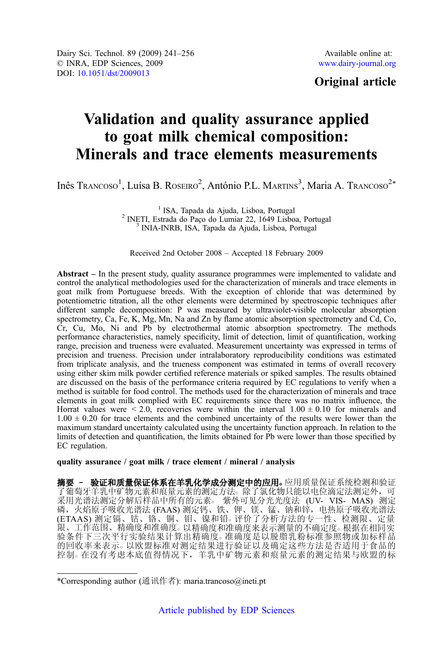# Original article

# Validation and quality assurance applied to goat milk chemical composition: Minerals and trace elements measurements

Inês Trancoso<sup>1</sup>, Luísa B. Roseiro<sup>2</sup>, António P.L. Martins<sup>3</sup>, Maria A. Trancoso<sup>2\*</sup>

<sup>1</sup> ISA, Tapada da Ajuda, Lisboa, Portugal<br><sup>2</sup> INETI, Estrada do Paço do Lumiar 22, 1649 Lisboa, Portugal <sup>3</sup> INIA-INRB, ISA, Tapada da Ajuda, Lisboa, Portugal

### Received 2nd October 2008 – Accepted 18 February 2009

Abstract – In the present study, quality assurance programmes were implemented to validate and control the analytical methodologies used for the characterization of minerals and trace elements in goat milk from Portuguese breeds. With the exception of chloride that was determined by potentiometric titration, all the other elements were determined by spectroscopic techniques after different sample decomposition: P was measured by ultraviolet-visible molecular absorption spectrometry, Ca, Fe, K, Mg, Mn, Na and Zn by flame atomic absorption spectrometry and Cd, Co, Cr, Cu, Mo, Ni and Pb by electrothermal atomic absorption spectrometry. The methods performance characteristics, namely specificity, limit of detection, limit of quantification, working range, precision and trueness were evaluated. Measurement uncertainty was expressed in terms of precision and trueness. Precision under intralaboratory reproducibility conditions was estimated from triplicate analysis, and the trueness component was estimated in terms of overall recovery using either skim milk powder certified reference materials or spiked samples. The results obtained are discussed on the basis of the performance criteria required by EC regulations to verify when a method is suitable for food control. The methods used for the characterization of minerals and trace elements in goat milk complied with EC requirements since there was no matrix influence, the Horrat values were  $\leq 2.0$ , recoveries were within the interval  $1.00 \pm 0.10$  for minerals and  $1.00 \pm 0.20$  for trace elements and the combined uncertainty of the results were lower than the maximum standard uncertainty calculated using the uncertainty function approach. In relation to the limits of detection and quantification, the limits obtained for Pb were lower than those specified by EC regulation.

quality assurance / goat milk / trace element / mineral / analysis

摘要 - 验证和质量保证体系在羊乳化学成分测定中的应用。应用质量保证系统检测和验证 了葡萄牙羊乳中矿物元素和痕量元素的测定方法○ 除了氯化物只能以电位滴定法测定外,可 采用光谱法测定分解后样品中所有的元素。紫外可见分光光度法 (UV- VIS- MAS) 测定 磷,火焰原子吸收光谱法 (FAAS) 测定钙、铁、钾、镁、锰、钠和锌,电热原子吸收光谱法 (ETAAS) 测定镉、钴、铬、铜、钼、镍和铅○ 评价了分析方法的专一性、检测限、定量 限、工作范围、精确度和准确度和准确度来表示测量的不确定度。根据在相同实 验条件下三次平行实验结果计算出精确度。准确度是以脱脂乳粉标准参照物或加标样品 的回收率来表示。以欧盟标准对测定结果进行验证以及确定这些方法是否适用于食品的 控制○ 在没有考虑本底值得情况下,羊乳中矿物元素和痕量元素的测定结果与欧盟的标

<sup>\*</sup>Corresponding author (通讯作者): maria.trancoso@ineti.pt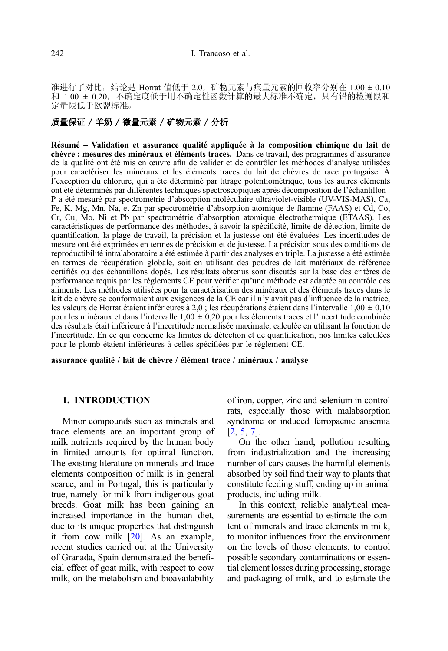准进行了对比,结论是 Horrat 值低于 2.0, 矿物元素与痕量元素的回收率分别在 1.00 ± 0.10 和 1.00 ± 0.20,不确定度低于用不确定性函数计算的最大标准不确定,只有铅的检测限和 定量限低于欧盟标准。

# 质量保证 / 羊奶 / 微量元素 / 矿物元素 / 分析

Résumé – Validation et assurance qualité appliquée à la composition chimique du lait de chèvre : mesures des minéraux et éléments traces. Dans ce travail, des programmes d'assurance de la qualité ont été mis en œuvre afin de valider et de contrôler les méthodes d'analyse utilisées pour caractériser les minéraux et les éléments traces du lait de chèvres de race portugaise. À l'exception du chlorure, qui a été déterminé par titrage potentiométrique, tous les autres éléments ont été déterminés par différentes techniques spectroscopiques après décomposition de l'échantillon : P a été mesuré par spectrométrie d'absorption moléculaire ultraviolet-visible (UV-VIS-MAS), Ca, Fe, K, Mg, Mn, Na, et Zn par spectrométrie d'absorption atomique de flamme (FAAS) et Cd, Co, Cr, Cu, Mo, Ni et Pb par spectrométrie d'absorption atomique électrothermique (ETAAS). Les caractéristiques de performance des méthodes, à savoir la spécificité, limite de détection, limite de quantification, la plage de travail, la précision et la justesse ont été évaluées. Les incertitudes de mesure ont été exprimées en termes de précision et de justesse. La précision sous des conditions de reproductibilité intralaboratoire a été estimée à partir des analyses en triple. La justesse a été estimée en termes de récupération globale, soit en utilisant des poudres de lait matériaux de référence certifiés ou des échantillons dopés. Les résultats obtenus sont discutés sur la base des critères de performance requis par les règlements CE pour vérifier qu'une méthode est adaptée au contrôle des aliments. Les méthodes utilisées pour la caractérisation des minéraux et des éléments traces dans le lait de chèvre se conformaient aux exigences de la CE car il n'y avait pas d'influence de la matrice, les valeurs de Horrat étaient inférieures à 2,0; les récupérations étaient dans l'intervalle  $1,00 \pm 0,10$ pour les minéraux et dans l'intervalle  $1,00 \pm 0,20$  pour les élements traces et l'incertitude combinée des résultats était inférieure à l'incertitude normalisée maximale, calculée en utilisant la fonction de l'incertitude. En ce qui concerne les limites de détection et de quantification, nos limites calculées pour le plomb étaient inférieures à celles spécifiées par le règlement CE.

assurance qualité / lait de chèvre / élément trace / minéraux / analyse

### 1. INTRODUCTION

Minor compounds such as minerals and trace elements are an important group of milk nutrients required by the human body in limited amounts for optimal function. The existing literature on minerals and trace elements composition of milk is in general scarce, and in Portugal, this is particularly true, namely for milk from indigenous goat breeds. Goat milk has been gaining an increased importance in the human diet, due to its unique properties that distinguish it from cow milk [\[20](#page-15-0)]. As an example, recent studies carried out at the University of Granada, Spain demonstrated the beneficial effect of goat milk, with respect to cow milk, on the metabolism and bioavailability of iron, copper, zinc and selenium in control rats, especially those with malabsorption syndrome or induced ferropaenic anaemia [[2](#page-14-0), [5](#page-14-0), [7\]](#page-14-0).

On the other hand, pollution resulting from industrialization and the increasing number of cars causes the harmful elements absorbed by soil find their way to plants that constitute feeding stuff, ending up in animal products, including milk.

In this context, reliable analytical measurements are essential to estimate the content of minerals and trace elements in milk, to monitor influences from the environment on the levels of those elements, to control possible secondary contaminations or essential element losses during processing, storage and packaging of milk, and to estimate the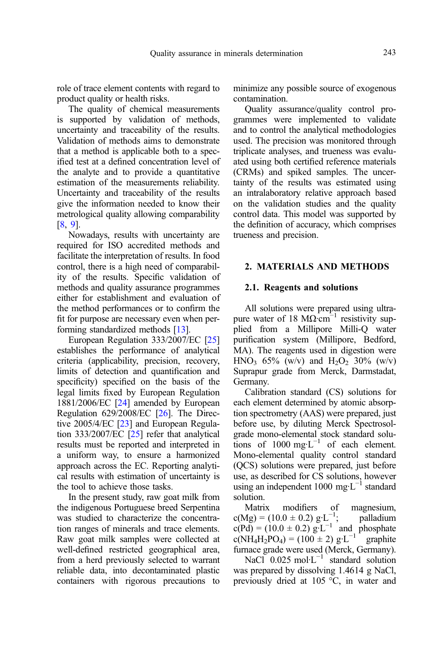role of trace element contents with regard to product quality or health risks.

The quality of chemical measurements is supported by validation of methods, uncertainty and traceability of the results. Validation of methods aims to demonstrate that a method is applicable both to a specified test at a defined concentration level of the analyte and to provide a quantitative estimation of the measurements reliability. Uncertainty and traceability of the results give the information needed to know their metrological quality allowing comparability [[8](#page-14-0), [9\]](#page-14-0).

Nowadays, results with uncertainty are required for ISO accredited methods and facilitate the interpretation of results. In food control, there is a high need of comparability of the results. Specific validation of methods and quality assurance programmes either for establishment and evaluation of the method performances or to confirm the fit for purpose are necessary even when performing standardized methods [\[13\]](#page-15-0).

European Regulation 333/2007/EC [[25](#page-15-0)] establishes the performance of analytical criteria (applicability, precision, recovery, limits of detection and quantification and specificity) specified on the basis of the legal limits fixed by European Regulation 1881/2006/EC [\[24\]](#page-15-0) amended by European Regulation 629/2008/EC [[26](#page-15-0)]. The Direc-tive 2005/4/EC [\[23](#page-15-0)] and European Regulation 333/2007/EC [[25](#page-15-0)] refer that analytical results must be reported and interpreted in a uniform way, to ensure a harmonized approach across the EC. Reporting analytical results with estimation of uncertainty is the tool to achieve those tasks.

In the present study, raw goat milk from the indigenous Portuguese breed Serpentina was studied to characterize the concentration ranges of minerals and trace elements. Raw goat milk samples were collected at well-defined restricted geographical area, from a herd previously selected to warrant reliable data, into decontaminated plastic containers with rigorous precautions to

minimize any possible source of exogenous contamination.

Quality assurance/quality control programmes were implemented to validate and to control the analytical methodologies used. The precision was monitored through triplicate analyses, and trueness was evaluated using both certified reference materials (CRMs) and spiked samples. The uncertainty of the results was estimated using an intralaboratory relative approach based on the validation studies and the quality control data. This model was supported by the definition of accuracy, which comprises trueness and precision.

# 2. MATERIALS AND METHODS

#### 2.1. Reagents and solutions

All solutions were prepared using ultrapure water of 18 MΩ·cm<sup>-1</sup> resistivity supplied from a Millipore Milli-Q water purification system (Millipore, Bedford, MA). The reagents used in digestion were HNO<sub>3</sub> 65% (w/v) and H<sub>2</sub>O<sub>2</sub> 30% (w/v) Suprapur grade from Merck, Darmstadat, Germany.

Calibration standard (CS) solutions for each element determined by atomic absorption spectrometry (AAS) were prepared, just before use, by diluting Merck Spectrosolgrade mono-elemental stock standard solutions of  $1000 \text{ mg} \cdot L^{-1}$  of each element. Mono-elemental quality control standard (QCS) solutions were prepared, just before use, as described for CS solutions, however using an independent 1000 mg⋅ $L^{-1}$  standard solution.

Matrix modifiers of magnesium,  $c(Mg) = (10.0 \pm 0.2) \text{ g} \cdot L^{-1};$ ; palladium  $c(Pd) = (10.0 \pm 0.2) g^2L^{-1}$  and phosphate  $c(NH_4H_2PO_4) = (100 \pm 2) g L^{-1}$  graphite furnace grade were used (Merck, Germany).

NaCl  $0.025$  mol⋅L<sup>-1</sup> standard solution was prepared by dissolving 1.4614 g NaCl, previously dried at 105 °C, in water and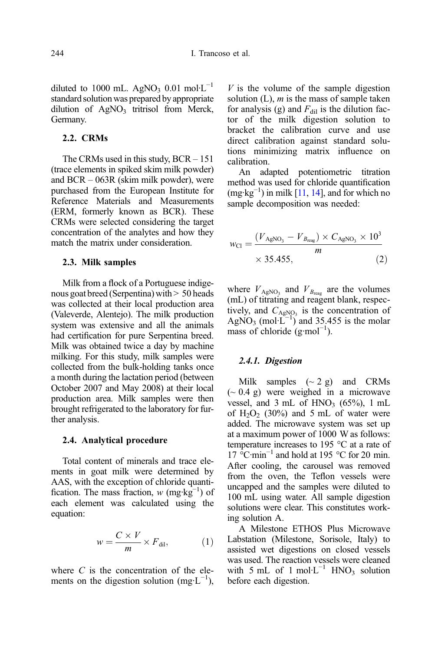<span id="page-3-0"></span>diluted to 1000 mL. AgNO<sub>3</sub> 0.01 mol·L<sup>-1</sup> standard solution was prepared by appropriate dilution of  $AgNO<sub>3</sub>$  tritrisol from Merck, Germany.

# 2.2. CRMs

The CRMs used in this study, BCR – 151 (trace elements in spiked skim milk powder) and BCR – 063R (skim milk powder), were purchased from the European Institute for Reference Materials and Measurements (ERM, formerly known as BCR). These CRMs were selected considering the target concentration of the analytes and how they match the matrix under consideration.

#### 2.3. Milk samples

Milk from a flock of a Portuguese indigenous goat breed (Serpentina) with > 50 heads was collected at their local production area (Valeverde, Alentejo). The milk production system was extensive and all the animals had certification for pure Serpentina breed. Milk was obtained twice a day by machine milking. For this study, milk samples were collected from the bulk-holding tanks once a month during the lactation period (between October 2007 and May 2008) at their local production area. Milk samples were then brought refrigerated to the laboratory for further analysis.

#### 2.4. Analytical procedure

Total content of minerals and trace elements in goat milk were determined by AAS, with the exception of chloride quantification. The mass fraction, w (mg·kg<sup>-1</sup>) of each element was calculated using the equation:

$$
w = \frac{C \times V}{m} \times F_{\text{dil}},\tag{1}
$$

where  $C$  is the concentration of the elements on the digestion solution (mg·L<sup>-1</sup>),

 $V$  is the volume of the sample digestion solution  $(L)$ , *m* is the mass of sample taken for analysis (g) and  $F_{\text{dil}}$  is the dilution factor of the milk digestion solution to bracket the calibration curve and use direct calibration against standard solutions minimizing matrix influence on calibration.

An adapted potentiometric titration method was used for chloride quantification (mg·kg−<sup>1</sup> ) in milk [[11](#page-15-0), [14\]](#page-15-0), and for which no sample decomposition was needed:

$$
w_{\text{Cl}} = \frac{(V_{\text{AgNO}_3} - V_{B_{\text{reg}}}) \times C_{\text{AgNO}_3} \times 10^3}{m}
$$
  
 
$$
\times 35.455, \tag{2}
$$

where  $V_{\text{AgNO}_3}$  and  $V_{B_{\text{reag}}}$  are the volumes (mL) of titrating and reagent blank, respectively, and  $C_{AgNO_3}$  is the concentration of AgNO<sub>3</sub> (mol·L<sup>-1</sup>)</sub> and 35.455 is the molar mass of chloride (g·mol<sup>-1</sup>).

#### 2.4.1. Digestion

Milk samples  $({\sim}2 \text{ g})$  and CRMs  $({\sim} 0.4 \text{ g})$  were weighed in a microwave vessel, and  $3 \text{ mL of HNO}_3$  (65%),  $1 \text{ mL}$ of  $H_2O_2$  (30%) and 5 mL of water were added. The microwave system was set up at a maximum power of 1000 W as follows: temperature increases to 195 °C at a rate of  $17 \text{ °C·min}^{-1}$  and hold at 195 °C for 20 min. After cooling, the carousel was removed from the oven, the Teflon vessels were uncapped and the samples were diluted to 100 mL using water. All sample digestion solutions were clear. This constitutes working solution A.

A Milestone ETHOS Plus Microwave Labstation (Milestone, Sorisole, Italy) to assisted wet digestions on closed vessels was used. The reaction vessels were cleaned with 5 mL of 1 mol·L<sup>-1</sup> HNO<sub>3</sub> solution before each digestion.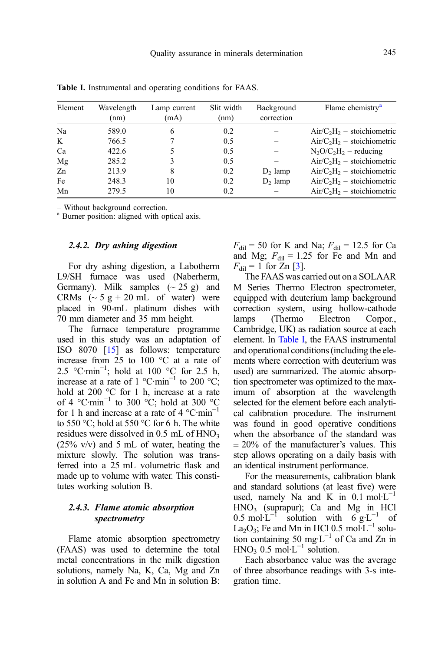| Element | Wavelength<br>(nm) | Lamp current<br>(mA) | Slit width<br>(nm) | Background<br>correction | Flame chemistry <sup>a</sup>  |
|---------|--------------------|----------------------|--------------------|--------------------------|-------------------------------|
| Na      | 589.0              | 6                    | 0.2                |                          | $Air/C_2H_2$ – stoichiometric |
| K       | 766.5              |                      | 0.5                |                          | $Air/C_2H_2$ – stoichiometric |
| Ca      | 422.6              |                      | 0.5                |                          | $N_2O/C_2H_2$ – reducing      |
| Mg      | 285.2              |                      | 0.5                |                          | $Air/C2H2 - stoichiometric$   |
| Zn      | 213.9              | 8                    | 0.2                | $D_2$ lamp               | $Air/C_2H_2$ – stoichiometric |
| Fe      | 248.3              | 10                   | 0.2                | $D_2$ lamp               | $Air/C_2H_2$ – stoichiometric |
| Mn      | 279.5              | 10                   | 0.2                |                          | $Air/C_2H_2$ – stoichiometric |

Table I. Instrumental and operating conditions for FAAS.

– Without background correction.<br><sup>a</sup> Burner position: aligned with optical axis.

#### 2.4.2. Dry ashing digestion

For dry ashing digestion, a Labotherm L9/SH furnace was used (Naberherm, Germany). Milk samples  $({\sim} 25 \text{ g})$  and CRMs  $({\sim} 5$  g + 20 mL of water) were placed in 90-mL platinum dishes with 70 mm diameter and 35 mm height.

The furnace temperature programme used in this study was an adaptation of ISO 8070 [\[15](#page-15-0)] as follows: temperature increase from 25 to 100 °C at a rate of 2.5 °C·min<sup>-1</sup>; hold at 100 °C for 2.5 h, increase at a rate of 1 °C·min<sup>-1</sup> to 200 °C: hold at 200 °C for 1 h, increase at a rate of 4  $^{\circ}$ C·min<sup>-1</sup> to 300  $^{\circ}$ C; hold at 300  $^{\circ}$ C for 1 h and increase at a rate of 4  $^{\circ}$ C·min<sup>-1</sup> to 550 °C; hold at 550 °C for 6 h. The white residues were dissolved in 0.5 mL of  $HNO<sub>3</sub>$  $(25\% \text{ v/v})$  and 5 mL of water, heating the mixture slowly. The solution was transferred into a 25 mL volumetric flask and made up to volume with water. This constitutes working solution B.

# 2.4.3. Flame atomic absorption spectrometry

Flame atomic absorption spectrometry (FAAS) was used to determine the total metal concentrations in the milk digestion solutions, namely Na, K, Ca, Mg and Zn in solution A and Fe and Mn in solution B:

 $F_{\text{dil}}$  = 50 for K and Na;  $F_{\text{dil}}$  = 12.5 for Ca and Mg;  $F_{\text{dil}} = 1.25$  for Fe and Mn and  $F_{\text{dil}} = 1$  for Zn [[3\]](#page-14-0).

The FAAS was carried out on a SOLAAR M Series Thermo Electron spectrometer, equipped with deuterium lamp background correction system, using hollow-cathode lamps (Thermo Electron Corpor., Cambridge, UK) as radiation source at each element. In Table I, the FAAS instrumental and operational conditions (including the elements where correction with deuterium was used) are summarized. The atomic absorption spectrometer was optimized to the maximum of absorption at the wavelength selected for the element before each analytical calibration procedure. The instrument was found in good operative conditions when the absorbance of the standard was  $\pm$  20% of the manufacturer's values. This step allows operating on a daily basis with an identical instrument performance.

For the measurements, calibration blank and standard solutions (at least five) were used, namely Na and K in  $0.1 \text{ mol} \cdot L^{-1}$ HNO3 (suprapur); Ca and Mg in HCl 0.5 mol·L<sup>-1</sup> solution with 6 g·L<sup>-1</sup> of La<sub>2</sub>O<sub>3</sub>; Fe and Mn in HCl 0.5 mol·L<sup>-1</sup> solution containing 50 mg·L<sup>-1</sup> of Ca and Zn in HNO<sub>3</sub> 0.5 mol⋅L<sup>-1</sup> solution.

Each absorbance value was the average of three absorbance readings with 3-s integration time.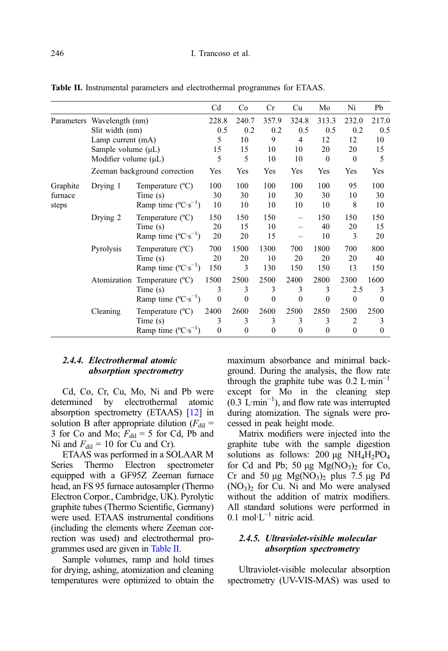|                  |                              |                                      | C <sub>d</sub> | Co           | Cr           | Cu                       | Mo           | Ni             | Pb           |
|------------------|------------------------------|--------------------------------------|----------------|--------------|--------------|--------------------------|--------------|----------------|--------------|
|                  | Parameters Wavelength (nm)   |                                      | 228.8          | 240.7        | 357.9        | 324.8                    | 313.3        | 232.0          | 217.0        |
|                  | Slit width (nm)              |                                      | 0.5            | 0.2          | 0.2          | 0.5                      | 0.5          | 0.2            | 0.5          |
|                  | Lamp current $(mA)$          |                                      | 5              | 10           | 9            | 4                        | 12           | 12             | 10           |
|                  | Sample volume $(\mu L)$      |                                      | 15             | 15           | 10           | 10                       | 20           | 20             | 15           |
|                  | Modifier volume $(\mu L)$    |                                      | 5              | 5            | 10           | 10                       | $\Omega$     | $\theta$       | 5            |
|                  | Zeeman background correction |                                      | Yes            | Yes          | Yes          | Yes                      | Yes          | Yes            | Yes          |
| Graphite         | Drying 1                     | Temperature $(^{\circ}C)$            | 100            | 100          | 100          | 100                      | 100          | 95             | 100          |
| furnace<br>steps |                              | Time(s)                              | 30             | 30           | 10           | 30                       | 30           | 10             | 30           |
|                  |                              | Ramp time $(^{\circ}C \cdot s^{-1})$ | 10             | 10           | 10           | 10                       | 10           | 8              | 10           |
|                  | Drying 2                     | Temperature $(^{\circ}C)$            | 150            | 150          | 150          | $\overline{\phantom{0}}$ | 150          | 150            | 150          |
|                  |                              | Time(s)                              | 20             | 15           | 10           | $\equiv$                 | 40           | 20             | 15           |
|                  |                              | Ramp time $(^{\circ}C \cdot s^{-1})$ | 20             | 20           | 15           |                          | 10           | 3              | 20           |
|                  | Pyrolysis                    | Temperature $(^{\circ}C)$            | 700            | 1500         | 1300         | 700                      | 1800         | 700            | 800          |
|                  |                              | Time(s)                              | 20             | 20           | 10           | 20                       | 20           | 20             | 40           |
|                  |                              | Ramp time $(^{\circ}C \cdot s^{-1})$ | 150            | 3            | 130          | 150                      | 150          | 13             | 150          |
|                  |                              | Atomization Temperature (°C)         | 1500           | 2500         | 2500         | 2400                     | 2800         | 2300           | 1600         |
|                  |                              | Time(s)                              | 3              | 3            | 3            | 3                        | 3            | 2.5            | 3            |
|                  |                              | Ramp time $(^{\circ}C \cdot s^{-1})$ | $\mathbf{0}$   | $\mathbf{0}$ | $\mathbf{0}$ | $\mathbf{0}$             | $\mathbf{0}$ | $\theta$       | $\Omega$     |
|                  | Cleaning                     | Temperature $(^{\circ}C)$            | 2400           | 2600         | 2600         | 2500                     | 2850         | 2500           | 2500         |
|                  |                              | Time(s)                              | 3              | 3            | 3            | 3                        | 3            | $\overline{2}$ | 3            |
|                  |                              | Ramp time $(^{\circ}C \cdot s^{-1})$ | $\mathbf{0}$   | $\mathbf{0}$ | $\mathbf{0}$ | $\mathbf{0}$             | $\mathbf{0}$ | $\mathbf{0}$   | $\mathbf{0}$ |

Table II. Instrumental parameters and electrothermal programmes for ETAAS.

# 2.4.4. Electrothermal atomic absorption spectrometry

Cd, Co, Cr, Cu, Mo, Ni and Pb were<br>ermined by electrothermal atomic determined by electrothermal atomic absorption spectrometry (ETAAS) [\[12\]](#page-15-0) in solution B after appropriate dilution  $(F_{\text{dil}} =$ 3 for Co and Mo;  $F_{\text{dil}} = 5$  for Cd, Pb and Ni and  $F_{\text{dil}} = 10$  for Cu and Cr).

ETAAS was performed in a SOLAAR M Series Thermo Electron spectrometer equipped with a GF95Z Zeeman furnace head, an FS 95 furnace autosampler (Thermo Electron Corpor., Cambridge, UK). Pyrolytic graphite tubes (Thermo Scientific, Germany) were used. ETAAS instrumental conditions (including the elements where Zeeman correction was used) and electrothermal programmes used are given in Table II.

Sample volumes, ramp and hold times for drying, ashing, atomization and cleaning temperatures were optimized to obtain the maximum absorbance and minimal background. During the analysis, the flow rate through the graphite tube was  $0.2$  L·min<sup>-1</sup> except for Mo in the cleaning step (0.3 L·min−<sup>1</sup> ), and flow rate was interrupted during atomization. The signals were processed in peak height mode.

Matrix modifiers were injected into the graphite tube with the sample digestion solutions as follows: 200 μg  $NH_4H_2PO_4$ for Cd and Pb; 50 μg  $Mg(NO_3)_2$  for Co, Cr and 50 μg  $Mg(NO_3)_2$  plus 7.5 μg Pd  $(NO<sub>3</sub>)<sub>2</sub>$  for Cu. Ni and Mo were analysed without the addition of matrix modifiers. All standard solutions were performed in 0.1 mol· $L^{-1}$  nitric acid.

# 2.4.5. Ultraviolet-visible molecular absorption spectrometry

Ultraviolet-visible molecular absorption spectrometry (UV-VIS-MAS) was used to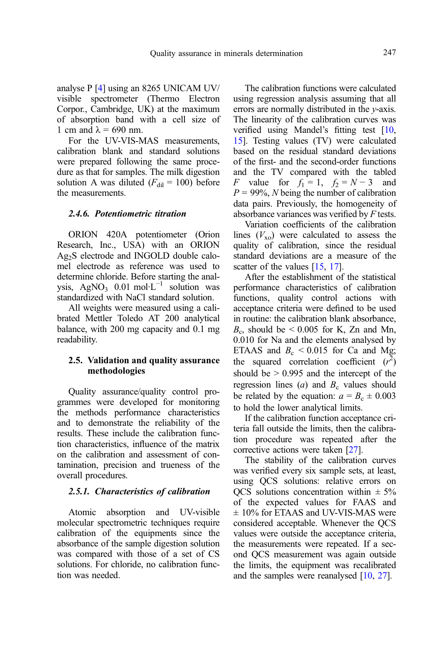analyse P [\[4](#page-14-0)] using an 8265 UNICAM UV/ visible spectrometer (Thermo Electron Corpor., Cambridge, UK) at the maximum of absorption band with a cell size of 1 cm and  $\lambda = 690$  nm.

For the UV-VIS-MAS measurements, calibration blank and standard solutions were prepared following the same procedure as that for samples. The milk digestion solution A was diluted  $(F_{\text{dil}} = 100)$  before the measurements.

#### 2.4.6. Potentiometric titration

ORION 420A potentiometer (Orion Research, Inc., USA) with an ORION Ag<sub>2</sub>S electrode and INGOLD double calomel electrode as reference was used to determine chloride. Before starting the analysis, AgNO<sub>3</sub> 0.01 mol·L<sup>-1</sup> solution was standardized with NaCl standard solution.

All weights were measured using a calibrated Mettler Toledo AT 200 analytical balance, with 200 mg capacity and 0.1 mg readability.

### 2.5. Validation and quality assurance methodologies

Quality assurance/quality control programmes were developed for monitoring the methods performance characteristics and to demonstrate the reliability of the results. These include the calibration function characteristics, influence of the matrix on the calibration and assessment of contamination, precision and trueness of the overall procedures.

#### 2.5.1. Characteristics of calibration

Atomic absorption and UV-visible molecular spectrometric techniques require calibration of the equipments since the absorbance of the sample digestion solution was compared with those of a set of CS solutions. For chloride, no calibration function was needed.

The calibration functions were calculated using regression analysis assuming that all errors are normally distributed in the y-axis. The linearity of the calibration curves was verified using Mandel's fitting test [[10](#page-15-0), [15](#page-15-0)]. Testing values (TV) were calculated based on the residual standard deviations of the first- and the second-order functions and the TV compared with the tabled F value for  $f_1 = 1$ ,  $f_2 = N - 3$  and  $P = 99\%, N$  being the number of calibration data pairs. Previously, the homogeneity of absorbance variances was verified by F tests.

Variation coefficients of the calibration lines  $(V_{xo})$  were calculated to assess the quality of calibration, since the residual standard deviations are a measure of the scatter of the values [[15](#page-15-0), [17\]](#page-15-0).

After the establishment of the statistical performance characteristics of calibration functions, quality control actions with acceptance criteria were defined to be used in routine: the calibration blank absorbance,  $B<sub>c</sub>$ , should be < 0.005 for K, Zn and Mn, 0.010 for Na and the elements analysed by ETAAS and  $B_c < 0.015$  for Ca and Mg; the squared correlation coefficient  $(r^2)$ should be  $> 0.995$  and the intercept of the regression lines (a) and  $B_c$  values should be related by the equation:  $a = B_c \pm 0.003$ to hold the lower analytical limits.

If the calibration function acceptance criteria fall outside the limits, then the calibration procedure was repeated after the corrective actions were taken [\[27](#page-15-0)].

The stability of the calibration curves was verified every six sample sets, at least, using QCS solutions: relative errors on QCS solutions concentration within  $\pm$  5% of the expected values for FAAS and ± 10% for ETAAS and UV-VIS-MAS were considered acceptable. Whenever the QCS values were outside the acceptance criteria, the measurements were repeated. If a second QCS measurement was again outside the limits, the equipment was recalibrated and the samples were reanalysed [\[10,](#page-15-0) [27](#page-15-0)].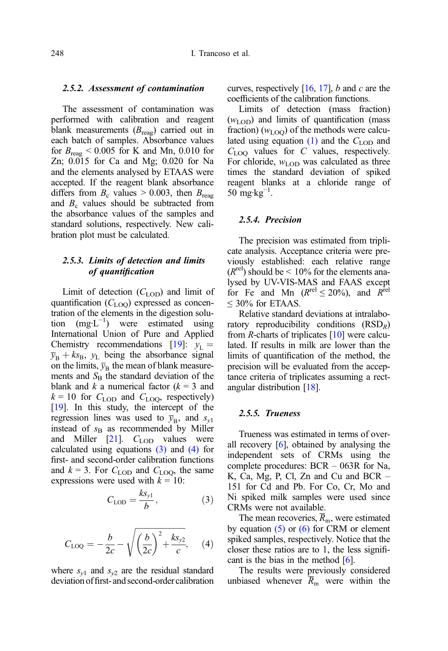#### 2.5.2. Assessment of contamination

The assessment of contamination was performed with calibration and reagent blank measurements  $(B_{\text{reag}})$  carried out in each batch of samples. Absorbance values for  $B_{\text{reav}}$  < 0.005 for K and Mn, 0.010 for Zn; 0.015 for Ca and Mg; 0.020 for Na and the elements analysed by ETAAS were accepted. If the reagent blank absorbance differs from  $B_c$  values > 0.003, then  $B_{\text{reag}}$ and  $B<sub>c</sub>$  values should be subtracted from the absorbance values of the samples and standard solutions, respectively. New calibration plot must be calculated.

# 2.5.3. Limits of detection and limits of quantification

Limit of detection  $(C_{\text{LOD}})$  and limit of quantification  $(C_{\text{LOO}})$  expressed as concentration of the elements in the digestion solution (mg·L−<sup>1</sup> ) were estimated using International Union of Pure and Applied Chemistry recommendations [\[19](#page-15-0)]:  $y_L =$  $\overline{y}_B + k s_B$ ,  $y_L$  being the absorbance signal on the limits,  $\bar{y}_B$  the mean of blank measurements and  $S_B$  the standard deviation of the blank and k a numerical factor  $(k = 3$  and  $k = 10$  for  $C_{\text{LOD}}$  and  $C_{\text{LOO}}$ , respectively) [\[19](#page-15-0)]. In this study, the intercept of the regression lines was used to  $\bar{y}_B$ , and  $s_{v1}$ instead of  $s_B$  as recommended by Miller and Miller [\[21\]](#page-15-0).  $C_{\text{LOD}}$  values were calculated using equations (3) and (4) for first- and second-order calibration functions and  $k = 3$ . For  $C_{\text{LOD}}$  and  $C_{\text{LOO}}$ , the same expressions were used with  $k = 10$ :

$$
C_{\text{LOD}} = \frac{k s_{y1}}{b},\tag{3}
$$

$$
C_{\text{LOQ}} = -\frac{b}{2c} - \sqrt{\left(\frac{b}{2c}\right)^2 + \frac{ks_{y2}}{c}}, \quad (4)
$$

where  $s_{v1}$  and  $s_{v2}$  are the residual standard deviation offirst- and second-order calibration curves, respectively  $[16, 17]$  $[16, 17]$  $[16, 17]$  $[16, 17]$ , b and c are the coefficients of the calibration functions.

Limits of detection (mass fraction)  $(w<sub>LOD</sub>)$  and limits of quantification (mass fraction) ( $w_{\text{LOO}}$ ) of the methods were calculated using equation  $(1)$  and the  $C_{\text{LOD}}$  and  $C_{\text{LOO}}$  values for C values, respectively. For chloride,  $w_{\text{LOD}}$  was calculated as three times the standard deviation of spiked reagent blanks at a chloride range of  $50 \text{ mg} \cdot \text{kg}^{-1}$ .

#### 2.5.4. Precision

The precision was estimated from triplicate analysis. Acceptance criteria were previously established: each relative range  $(R^{\text{rel}})$  should be < 10% for the elements analysed by UV-VIS-MAS and FAAS except for Fe and Mn  $(R^{\text{rel}} \le 20\%)$ , and  $R^{\text{rel}}$  $<$  30% for ETAAS.

Relative standard deviations at intralaboratory reproducibility conditions  $(RSD<sub>R</sub>)$ from *R*-charts of triplicates  $[10]$  were calculated. If results in milk are lower than the limits of quantification of the method, the precision will be evaluated from the acceptance criteria of triplicates assuming a rectangular distribution [[18](#page-15-0)].

#### 2.5.5. Trueness

Trueness was estimated in terms of overall recovery [\[6\]](#page-14-0), obtained by analysing the independent sets of CRMs using the complete procedures: BCR – 063R for Na, K, Ca, Mg, P, Cl, Zn and Cu and BCR – 151 for Cd and Pb. For Co, Cr, Mo and Ni spiked milk samples were used since CRMs were not available.

The mean recoveries,  $\overline{R}_{m}$ , were estimated by equation  $(5)$  or  $(6)$  for CRM or element spiked samples, respectively. Notice that the closer these ratios are to 1, the less significant is the bias in the method [\[6\]](#page-14-0).

The results were previously considered unbiased whenever  $\overline{R}_{m}$  were within the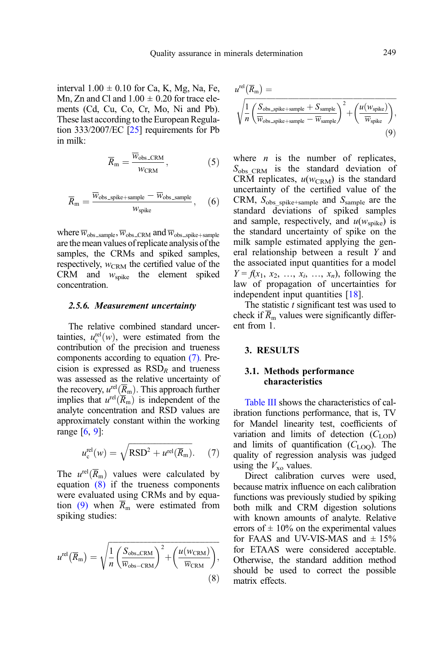<span id="page-8-0"></span>interval  $1.00 \pm 0.10$  for Ca, K, Mg, Na, Fe, Mn, Zn and Cl and  $1.00 \pm 0.20$  for trace elements (Cd, Cu, Co, Cr, Mo, Ni and Pb). These last according to the European Regulation 333/2007/EC  $[25]$  $[25]$  $[25]$  requirements for Pb in milk:

$$
\overline{R}_{\rm m} = \frac{\overline{w}_{\rm obs\_{CRM}}}{w_{\rm CRM}},\tag{5}
$$

$$
\overline{R}_{\rm m} = \frac{\overline{w}_{\rm obs\_spike + sample} - \overline{w}_{\rm obs\_sample}}{w_{\rm spike}}, \quad (6)
$$

where  $\overline{w}_{obs\_sample}, \overline{w}_{obs\_CRM}$  and  $\overline{w}_{obs\_spike + sample}$ are the mean values of replicate analysis of the samples, the CRMs and spiked samples, respectively,  $w_{\text{CRM}}$  the certified value of the CRM and  $w_{\text{snike}}$  the element spiked concentration.

#### 2.5.6. Measurement uncertainty

The relative combined standard uncertainties,  $u_c^{\text{rel}}(w)$ , were estimated from the contribution of the precision and trueness components according to equation (7). Precision is expressed as  $RSD<sub>R</sub>$  and trueness was assessed as the relative uncertainty of the recovery,  $u^{\text{rel}}(\overline{R}_{\text{m}})$ . This approach further implies that  $u^{\text{rel}}(\overline{R}_{\text{m}})$  is independent of the analyte concentration and RSD values are approximately constant within the working range  $[6, 9]$  $[6, 9]$  $[6, 9]$ :

$$
u_{\rm c}^{\rm rel}(w) = \sqrt{\text{RSD}^2 + u^{\rm rel}(\overline{R}_{\rm m})}. \quad (7)
$$

The  $u^{\text{rel}}(\overline{R}_{\text{m}})$  values were calculated by equation (8) if the trueness components were evaluated using CRMs and by equation (9) when  $\overline{R}_{m}$  were estimated from spiking studies:

$$
u^{\text{rel}}(\overline{R}_{\text{m}}) = \sqrt{\frac{1}{n} \left( \frac{S_{\text{obs\_CRM}}}{\overline{w}_{\text{obs--CRM}}} \right)^2 + \left( \frac{u(w_{\text{CRM}})}{\overline{w}_{\text{CRM}}} \right)},
$$
(8)

$$
u^{\text{rel}}(\overline{R}_{\text{m}}) = \sqrt{\frac{1}{n} \left( \frac{S_{\text{obs}} - \text{spike} + \text{sample}}{\overline{w}_{\text{obs}} - \overline{w}_{\text{sample}}} \right)^2 + \left( \frac{u(w_{\text{spike}})}{\overline{w}_{\text{spike}}} \right)^2},
$$
\n(9)

where  $n$  is the number of replicates,  $S_{\rm obs}$   $_{\rm CKM}$  is the standard deviation of CRM replicates,  $u(w_{\text{CRM}})$  is the standard uncertainty of the certified value of the CRM,  $S_{obs}$  spike+sample and  $S_{sample}$  are the standard deviations of spiked samples and sample, respectively, and  $u(w_{\text{spike}})$  is the standard uncertainty of spike on the milk sample estimated applying the general relationship between a result Y and the associated input quantities for a model  $Y = f(x_1, x_2, ..., x_i, ..., x_n)$ , following the law of propagation of uncertainties for independent input quantities [\[18](#page-15-0)].

The statistic  $t$  significant test was used to check if  $\overline{R}_{m}$  values were significantly different from 1.

# 3. RESULTS

#### 3.1. Methods performance characteristics

[Table III](#page-9-0) shows the characteristics of calibration functions performance, that is, TV for Mandel linearity test, coefficients of variation and limits of detection  $(C_{\text{LOD}})$ and limits of quantification  $(C_{\text{LOO}})$ . The quality of regression analysis was judged using the  $V_{xo}$  values.

Direct calibration curves were used, because matrix influence on each calibration functions was previously studied by spiking both milk and CRM digestion solutions with known amounts of analyte. Relative errors of  $\pm$  10% on the experimental values for FAAS and UV-VIS-MAS and  $\pm$  15% for ETAAS were considered acceptable. Otherwise, the standard addition method should be used to correct the possible matrix effects.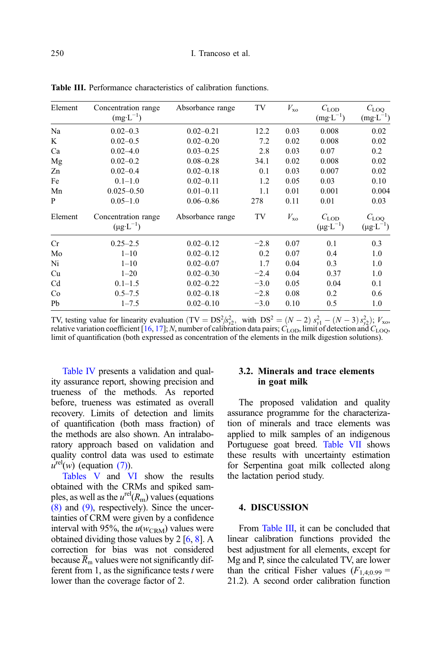| Element | Concentration range<br>$(mg \cdot L^{-1})$    | Absorbance range | TV     | $V_{\rm xo}$ | $C_{\rm{LOD}}$<br>$(mg \cdot L^{-1})$    | $C_{\text{LOQ}}$<br>$(mg \cdot L^{-1})$    |
|---------|-----------------------------------------------|------------------|--------|--------------|------------------------------------------|--------------------------------------------|
| Na      | $0.02 - 0.3$                                  | $0.02 - 0.21$    | 12.2   | 0.03         | 0.008                                    | 0.02                                       |
| K       | $0.02 - 0.5$                                  | $0.02 - 0.20$    | 7.2    | 0.02         | 0.008                                    | 0.02                                       |
| Ca      | $0.02 - 4.0$                                  | $0.03 - 0.25$    | 2.8    | 0.03         | 0.07                                     | 0.2                                        |
| Mg      | $0.02 - 0.2$                                  | $0.08 - 0.28$    | 34.1   | 0.02         | 0.008                                    | 0.02                                       |
| Zn      | $0.02 - 0.4$                                  | $0.02 - 0.18$    | 0.1    | 0.03         | 0.007                                    | 0.02                                       |
| Fe      | $0.1 - 1.0$                                   | $0.02 - 0.11$    | 1.2    | 0.05         | 0.03                                     | 0.10                                       |
| Mn      | $0.025 - 0.50$                                | $0.01 - 0.11$    | 1.1    | 0.01         | 0.001                                    | 0.004                                      |
| P       | $0.05 - 1.0$                                  | $0.06 - 0.86$    | 278    | 0.11         | 0.01                                     | 0.03                                       |
| Element | Concentration range<br>$(\mu g \cdot L^{-1})$ | Absorbance range | TV     | $V_{\rm xo}$ | $C_{\rm{LOD}}$<br>$(\mu g \cdot L^{-1})$ | $C_{\text{LOQ}}$<br>$(\mu g \cdot L^{-1})$ |
| Cr      | $0.25 - 2.5$                                  | $0.02 - 0.12$    | $-2.8$ | 0.07         | 0.1                                      | 0.3                                        |
| Mo      | $1 - 10$                                      | $0.02 - 0.12$    | 0.2    | 0.07         | 0.4                                      | 1.0                                        |
| Ni      | $1 - 10$                                      | $0.02 - 0.07$    | 1.7    | 0.04         | 0.3                                      | 1.0                                        |
| Cu      | $1 - 20$                                      | $0.02 - 0.30$    | $-2.4$ | 0.04         | 0.37                                     | 1.0                                        |
| Cd      | $0.1 - 1.5$                                   | $0.02 - 0.22$    | $-3.0$ | 0.05         | 0.04                                     | 0.1                                        |
| Co      | $0.5 - 7.5$                                   | $0.02 - 0.18$    | $-2.8$ | 0.08         | 0.2                                      | 0.6                                        |
| Pb      | $1 - 7.5$                                     | $0.02 - 0.10$    | $-3.0$ | 0.10         | 0.5                                      | 1.0                                        |

<span id="page-9-0"></span>Table III. Performance characteristics of calibration functions.

TV, testing value for linearity evaluation (TV =  $DS^2/s^2_{1/2}$ , with  $DS^2 = (N - 2) s^2_{y1} - (N - 3) s^2_{y2}$ );  $V_{xo}$ , relative variation coefficient [\[16,](#page-15-0) [17\]](#page-15-0); N, number of calibration data pairs;  $C_{\text{LOD}}$ , limit of detection limit of quantification (both expressed as concentration of the elements in the milk digestion solutions).

[Table IV](#page-10-0) presents a validation and quality assurance report, showing precision and trueness of the methods. As reported before, trueness was estimated as overall recovery. Limits of detection and limits of quantification (both mass fraction) of the methods are also shown. An intralaboratory approach based on validation and quality control data was used to estimate  $u^{\text{rel}}(w)$  (equation [\(7\)](#page-8-0)).

[Tables V](#page-11-0) and [VI](#page-12-0) show the results obtained with the CRMs and spiked samples, as well as the  $u^{\text{rel}}(R_{\text{m}})$  values (equations [\(8\)](#page-8-0) and [\(9\),](#page-8-0) respectively). Since the uncertainties of CRM were given by a confidence interval with 95%, the  $u(w_{\text{CRM}})$  values were obtained dividing those values by 2 [\[6,](#page-14-0) [8](#page-14-0)]. A correction for bias was not considered because  $\overline{R}_{\text{m}}$  values were not significantly different from 1, as the significance tests  $t$  were lower than the coverage factor of 2.

# 3.2. Minerals and trace elements in goat milk

The proposed validation and quality assurance programme for the characterization of minerals and trace elements was applied to milk samples of an indigenous Portuguese goat breed. [Table VII](#page-13-0) shows these results with uncertainty estimation for Serpentina goat milk collected along the lactation period study.

# 4. DISCUSSION

From Table III, it can be concluded that linear calibration functions provided the best adjustment for all elements, except for Mg and P, since the calculated TV, are lower than the critical Fisher values  $(F_{1,4;0.99} =$ 21.2). A second order calibration function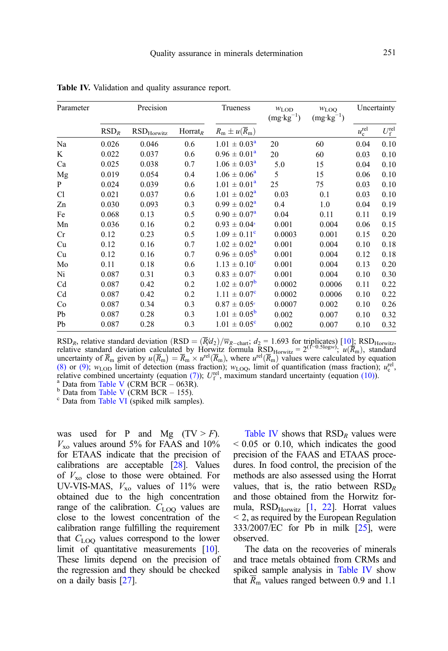| Parameter      | Precision |                               |            | Trueness                     | $W$ LOD<br>$(mg \cdot kg^{-1})$ | W <sub>LOO</sub><br>$(mg \cdot kg^{-1})$ | Uncertainty           |                       |
|----------------|-----------|-------------------------------|------------|------------------------------|---------------------------------|------------------------------------------|-----------------------|-----------------------|
|                | $RSD_R$   | $\text{RSD}_{\text{Horwitz}}$ | $Horrat_R$ | $R_{\rm m} \pm u(R_{\rm m})$ |                                 |                                          | $u_{\rm c}^{\rm rel}$ | $U_{\rm f}^{\rm rel}$ |
| Na             | 0.026     | 0.046                         | 0.6        | $1.01 \pm 0.03^{\rm a}$      | 20                              | 60                                       | 0.04                  | 0.10                  |
| K              | 0.022     | 0.037                         | 0.6        | $0.96 \pm 0.01^a$            | 20                              | 60                                       | 0.03                  | 0.10                  |
| Ca             | 0.025     | 0.038                         | 0.7        | $1.06 \pm 0.03^{\rm a}$      | 5.0                             | 15                                       | 0.04                  | 0.10                  |
| Mg             | 0.019     | 0.054                         | 0.4        | $1.06 \pm 0.06^a$            | 5                               | 15                                       | 0.06                  | 0.10                  |
| P              | 0.024     | 0.039                         | 0.6        | $1.01 \pm 0.01^a$            | 25                              | 75                                       | 0.03                  | 0.10                  |
| C <sub>1</sub> | 0.021     | 0.037                         | 0.6        | $1.01 \pm 0.02^{\rm a}$      | 0.03                            | 0.1                                      | 0.03                  | 0.10                  |
| Zn             | 0.030     | 0.093                         | 0.3        | $0.99 \pm 0.02^{\rm a}$      | 0.4                             | 1.0                                      | 0.04                  | 0.19                  |
| Fe             | 0.068     | 0.13                          | 0.5        | $0.90 \pm 0.07^{\rm a}$      | 0.04                            | 0.11                                     | 0.11                  | 0.19                  |
| Mn             | 0.036     | 0.16                          | 0.2        | $0.93 \pm 0.04$ <sup>a</sup> | 0.001                           | 0.004                                    | 0.06                  | 0.15                  |
| Cr             | 0.12      | 0.23                          | 0.5        | $1.09 \pm 0.11^{\circ}$      | 0.0003                          | 0.001                                    | 0.15                  | 0.20                  |
| Cu             | 0.12      | 0.16                          | 0.7        | $1.02 \pm 0.02^{\rm a}$      | 0.001                           | 0.004                                    | 0.10                  | 0.18                  |
| Cu             | 0.12      | 0.16                          | 0.7        | $0.96 \pm 0.05^{\circ}$      | 0.001                           | 0.004                                    | 0.12                  | 0.18                  |
| Mo             | 0.11      | 0.18                          | 0.6        | $1.13 \pm 0.10^{\circ}$      | 0.001                           | 0.004                                    | 0.13                  | 0.20                  |
| Ni             | 0.087     | 0.31                          | 0.3        | $0.83 \pm 0.07^{\circ}$      | 0.001                           | 0.004                                    | 0.10                  | 0.30                  |
| Cd             | 0.087     | 0.42                          | 0.2        | $1.02 \pm 0.07^{\rm b}$      | 0.0002                          | 0.0006                                   | 0.11                  | 0.22                  |
| C <sub>d</sub> | 0.087     | 0.42                          | 0.2        | $1.11 \pm 0.07^{\circ}$      | 0.0002                          | 0.0006                                   | 0.10                  | 0.22                  |
| Co             | 0.087     | 0.34                          | 0.3        | $0.87 \pm 0.05$ <sup>e</sup> | 0.0007                          | 0.002                                    | 0.10                  | 0.26                  |
| Pb             | 0.087     | 0.28                          | 0.3        | $1.01 \pm 0.05^{\rm b}$      | 0.002                           | 0.007                                    | 0.10                  | 0.32                  |
| Pb             | 0.087     | 0.28                          | 0.3        | $1.01 \pm 0.05^{\circ}$      | 0.002                           | 0.007                                    | 0.10                  | 0.32                  |

<span id="page-10-0"></span>Table IV. Validation and quality assurance report.

RSD<sub>R</sub>, relative standard deviation (RSD =  $(\overline{R}/d_2)/\overline{w}_{R-\text{chart}}$ ;  $d_2 = 1.693$  for triplicates) [\[10\]](#page-15-0); RSD<sub>Horwitz</sub><br>relative standard deviation calculated by Horwitz formula RSD<sub>Horwitz</sub> =  $2^{(\Gamma-\text{0.5log}w)}$ ;  $u(\overline{R}_m)$ , relative combined uncertainty (equation [\(7\)](#page-8-0));  $U_f^{\text{rel}}$ , maximum standard uncertainty (equation [\(10\)](#page-12-0)).<br>
<sup>a</sup> Data from [Table V](#page-11-0) (CRM BCR – 063R).<br>
<sup>c</sup> Data from [Table VI](#page-12-0) (spiked milk samples).

was used for P and Mg  $(TV > F)$ .  $V_{xo}$  values around 5% for FAAS and 10% for ETAAS indicate that the precision of calibrations are acceptable [\[28\]](#page-15-0). Values of  $V_{xo}$  close to those were obtained. For UV-VIS-MAS,  $V_{xo}$  values of 11% were obtained due to the high concentration range of the calibration.  $C_{\text{LOQ}}$  values are close to the lowest concentration of the calibration range fulfilling the requirement that  $C_{\text{LOO}}$  values correspond to the lower limit of quantitative measurements [\[10](#page-15-0)]. These limits depend on the precision of the regression and they should be checked on a daily basis [\[27\]](#page-15-0).

Table IV shows that  $RSD_R$  values were  $< 0.05$  or 0.10, which indicates the good precision of the FAAS and ETAAS procedures. In food control, the precision of the methods are also assessed using the Horrat values, that is, the ratio between  $RSD<sub>R</sub>$ and those obtained from the Horwitz formula,  $RSD$ <sub>Horwitz</sub> [\[1](#page-14-0), [22](#page-15-0)]. Horrat values < 2, as required by the European Regulation 333/2007/EC for Pb in milk [\[25\]](#page-15-0), were observed.

The data on the recoveries of minerals and trace metals obtained from CRMs and spiked sample analysis in Table IV show that  $R<sub>m</sub>$  values ranged between 0.9 and 1.1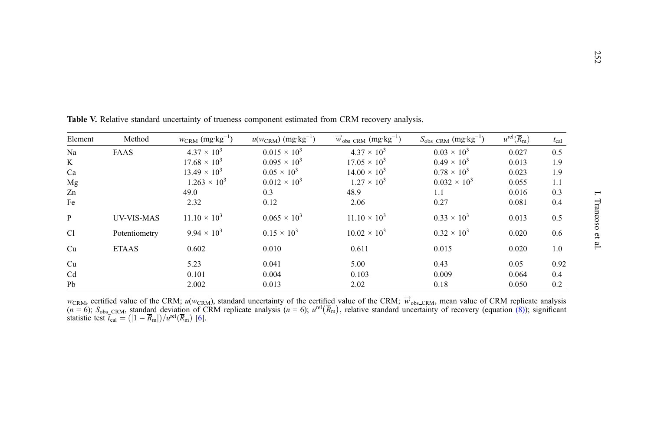| Element        | Method            | $w_{\text{CRM}}$ (mg·kg <sup>-1</sup> ) | $u(w_{\text{CRM}})$ (mg·kg <sup>-1</sup> ) | $\vec{w}_{\text{obs\_CRM}}$ (mg·kg <sup>-1</sup> ) | $S_{\rm obs\_CRM}$ (mg·kg <sup>-1</sup> ) | $u^{\text{rel}}(\overline{R}_{\text{m}})$ | $t_{\rm cal}$ |
|----------------|-------------------|-----------------------------------------|--------------------------------------------|----------------------------------------------------|-------------------------------------------|-------------------------------------------|---------------|
| Na             | <b>FAAS</b>       | $4.37 \times 10^{3}$                    | $0.015 \times 10^3$                        | $4.37 \times 10^{3}$                               | $0.03 \times 10^3$                        | 0.027                                     | 0.5           |
| K              |                   | $17.68 \times 10^3$                     | $0.095 \times 10^3$                        | $17.05 \times 10^3$                                | $0.49 \times 10^{3}$                      | 0.013                                     | 1.9           |
| Ca             |                   | $13.49 \times 10^3$                     | $0.05 \times 10^{3}$                       | $14.00 \times 10^3$                                | $0.78 \times 10^3$                        | 0.023                                     | 1.9           |
| Mg             |                   | $1.263 \times 10^3$                     | $0.012 \times 10^{3}$                      | $1.27 \times 10^3$                                 | $0.032 \times 10^{3}$                     | 0.055                                     | 1.1           |
| Zn             |                   | 49.0                                    | 0.3                                        | 48.9                                               | 1.1                                       | 0.016                                     | 0.3           |
| Fe             |                   | 2.32                                    | 0.12                                       | 2.06                                               | 0.27                                      | 0.081                                     | 0.4           |
| P              | <b>UV-VIS-MAS</b> | $11.10 \times 10^3$                     | $0.065 \times 10^3$                        | $11.10 \times 10^3$                                | $0.33 \times 10^3$                        | 0.013                                     | 0.5           |
| C <sub>1</sub> | Potentiometry     | $9.94 \times 10^{3}$                    | $0.15 \times 10^3$                         | $10.02 \times 10^3$                                | $0.32 \times 10^3$                        | 0.020                                     | 0.6           |
| Cu             | <b>ETAAS</b>      | 0.602                                   | 0.010                                      | 0.611                                              | 0.015                                     | 0.020                                     | 1.0           |
| Cu             |                   | 5.23                                    | 0.041                                      | 5.00                                               | 0.43                                      | 0.05                                      | 0.92          |
| Cd             |                   | 0.101                                   | 0.004                                      | 0.103                                              | 0.009                                     | 0.064                                     | 0.4           |
| Pb             |                   | 2.002                                   | 0.013                                      | 2.02                                               | 0.18                                      | 0.050                                     | 0.2           |

<span id="page-11-0"></span>Table V. Relative standard uncertainty of trueness componen<sup>t</sup> estimated from CRM recovery analysis.

 $w_{\text{CRM}}$ , certified value of the CRM;  $u(w_{\text{CRM}})$ , standard uncertainty of the certified value of the CRM;  $\vec{w}_{\text{obs,CRM}}$ , mean value of CRM replicate analysis (n = [6](#page-14-0));  $S_{obs\ \text{CRM}}$ , standard deviation of CRM replicate analysis (n = 6);  $u^{\text{rel}}(\overline{R}_{\text{m}})$ , relative standard uncertainty of recovery (equation [\(8\)\)](#page-8-0); significant statistic test  $\bar{t}_{cal} = (|1 - \overline{R}_{\text{m}}|)/u^{\text{rel}}(\overline$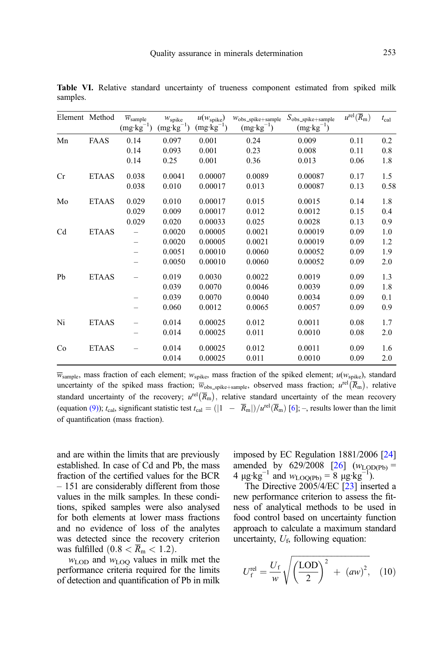| Element Method |              | $\overline{w}_{\text{sample}}$<br>$(mg \cdot kg^{-1})$ | $W_{spike}$<br>$(mg \cdot kg^{-1})$ | $u(w_{spike})$<br>$(mg \cdot kg^{-1})$ | $W$ <sub>obs</sub> _spike+sample<br>$(mg \cdot kg^{-1})$ | $S_{\rm obs\_spike + sample}$<br>$(mg \cdot kg^{-1})$ | $u^{\mathrm{rel}}(\overline{R}_{\mathrm{m}})$ | $t_{\rm cal}$ |
|----------------|--------------|--------------------------------------------------------|-------------------------------------|----------------------------------------|----------------------------------------------------------|-------------------------------------------------------|-----------------------------------------------|---------------|
| Mn             | <b>FAAS</b>  | 0.14                                                   | 0.097                               | 0.001                                  | 0.24                                                     | 0.009                                                 | 0.11                                          | 0.2           |
|                |              | 0.14                                                   | 0.093                               | 0.001                                  | 0.23                                                     | 0.008                                                 | 0.11                                          | 0.8           |
|                |              | 0.14                                                   | 0.25                                | 0.001                                  | 0.36                                                     | 0.013                                                 | 0.06                                          | 1.8           |
| Cr             | <b>ETAAS</b> | 0.038                                                  | 0.0041                              | 0.00007                                | 0.0089                                                   | 0.00087                                               | 0.17                                          | 1.5           |
|                |              | 0.038                                                  | 0.010                               | 0.00017                                | 0.013                                                    | 0.00087                                               | 0.13                                          | 0.58          |
| Mo             | <b>ETAAS</b> | 0.029                                                  | 0.010                               | 0.00017                                | 0.015                                                    | 0.0015                                                | 0.14                                          | 1.8           |
|                |              | 0.029                                                  | 0.009                               | 0.00017                                | 0.012                                                    | 0.0012                                                | 0.15                                          | 0.4           |
|                |              | 0.029                                                  | 0.020                               | 0.00033                                | 0.025                                                    | 0.0028                                                | 0.13                                          | 0.9           |
| Cd             | <b>ETAAS</b> |                                                        | 0.0020                              | 0.00005                                | 0.0021                                                   | 0.00019                                               | 0.09                                          | 1.0           |
|                |              |                                                        | 0.0020                              | 0.00005                                | 0.0021                                                   | 0.00019                                               | 0.09                                          | 1.2           |
|                |              |                                                        | 0.0051                              | 0.00010                                | 0.0060                                                   | 0.00052                                               | 0.09                                          | 1.9           |
|                |              |                                                        | 0.0050                              | 0.00010                                | 0.0060                                                   | 0.00052                                               | 0.09                                          | 2.0           |
| Pb             | <b>ETAAS</b> |                                                        | 0.019                               | 0.0030                                 | 0.0022                                                   | 0.0019                                                | 0.09                                          | 1.3           |
|                |              |                                                        | 0.039                               | 0.0070                                 | 0.0046                                                   | 0.0039                                                | 0.09                                          | 1.8           |
|                |              |                                                        | 0.039                               | 0.0070                                 | 0.0040                                                   | 0.0034                                                | 0.09                                          | 0.1           |
|                |              |                                                        | 0.060                               | 0.0012                                 | 0.0065                                                   | 0.0057                                                | 0.09                                          | 0.9           |
| Ni             | <b>ETAAS</b> |                                                        | 0.014                               | 0.00025                                | 0.012                                                    | 0.0011                                                | 0.08                                          | 1.7           |
|                |              |                                                        | 0.014                               | 0.00025                                | 0.011                                                    | 0.0010                                                | 0.08                                          | 2.0           |
| Co             | <b>ETAAS</b> |                                                        | 0.014                               | 0.00025                                | 0.012                                                    | 0.0011                                                | 0.09                                          | 1.6           |
|                |              |                                                        | 0.014                               | 0.00025                                | 0.011                                                    | 0.0010                                                | 0.09                                          | 2.0           |

<span id="page-12-0"></span>Table VI. Relative standard uncertainty of trueness component estimated from spiked milk samples.

 $\overline{w}_{sample}$ , mass fraction of each element;  $w_{\text{unike}}$ , mass fraction of the spiked element;  $u(w_{\text{unike}})$ , standard uncertainty of the spiked mass fraction;  $\overline{w}_{obs-spike+sample}$ , observed mass fraction;  $u^{rel}(\overline{R}_{m})$ , relative standard uncertainty of the recovery;  $u^{\text{rel}}(\overline{R}_{\text{m}})$ , relative standard uncertainty of the mean recovery (equation [\(9\)](#page-8-0));  $t_{\text{cal}}$ , significant statistic test  $t_{\text{cal}} = (1 - \overline{R}_{\text{m}})/u^{\text{rel}}(\overline{R}_{\text{m}})$  [\[6\]](#page-14-0); –, results lower than the limit of quantification (mass fraction).

and are within the limits that are previously established. In case of Cd and Pb, the mass fraction of the certified values for the BCR – 151 are considerably different from those values in the milk samples. In these conditions, spiked samples were also analysed for both elements at lower mass fractions and no evidence of loss of the analytes was detected since the recovery criterion was fulfilled  $(0.8 < R_{\rm m} < 1.2)$ .

 $w_{\text{LOD}}$  and  $w_{\text{LOQ}}$  values in milk met the performance criteria required for the limits of detection and quantification of Pb in milk

imposed by EC Regulation 1881/2006 [\[24\]](#page-15-0) amended by  $629/2008$  [[26](#page-15-0)]  $(w_{LQD(Pb)} =$ 4  $\mu$ g·kg<sup>-1</sup> and  $w_{\text{LOQ(Pb)}} = 8 \mu$ g·kg<sup>-1</sup>).

The Directive  $2005/4/EC$  [\[23](#page-15-0)] inserted a new performance criterion to assess the fitness of analytical methods to be used in food control based on uncertainty function approach to calculate a maximum standard uncertainty,  $U_f$ , following equation:

$$
U_{\rm f}^{\rm rel} = \frac{U_{\rm f}}{w} \sqrt{\left(\frac{\rm{LOD}}{2}\right)^2 \ + \ (aw)^2}, \quad (10)
$$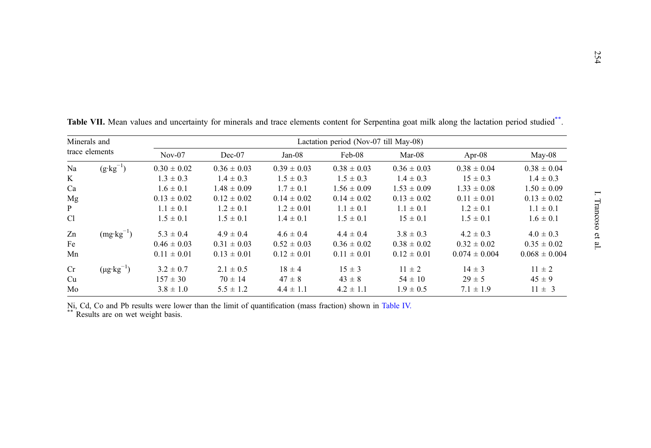| Minerals and   |                         | Lactation period (Nov-07 till May-08) |                 |                 |                 |                 |                   |                   |  |  |  |
|----------------|-------------------------|---------------------------------------|-----------------|-----------------|-----------------|-----------------|-------------------|-------------------|--|--|--|
|                | trace elements          | $Nov-07$                              | $Dec-07$        | $Jan-08$        | Feb-08          | Mar-08          | Apr-08            | $May-08$          |  |  |  |
| Na             | $(g \cdot kg^{-1})$     | $0.30 \pm 0.02$                       | $0.36 \pm 0.03$ | $0.39 \pm 0.03$ | $0.38 \pm 0.03$ | $0.36 \pm 0.03$ | $0.38 \pm 0.04$   | $0.38 \pm 0.04$   |  |  |  |
| K              |                         | $1.3 \pm 0.3$                         | $1.4 \pm 0.3$   | $1.5 \pm 0.3$   | $1.5 \pm 0.3$   | $1.4 \pm 0.3$   | $15 \pm 0.3$      | $1.4 \pm 0.3$     |  |  |  |
| Ca             |                         | $1.6 \pm 0.1$                         | $1.48 \pm 0.09$ | $1.7 \pm 0.1$   | $1.56 \pm 0.09$ | $1.53 \pm 0.09$ | $1.33 \pm 0.08$   | $1.50 \pm 0.09$   |  |  |  |
| Mg             |                         | $0.13 \pm 0.02$                       | $0.12 \pm 0.02$ | $0.14 \pm 0.02$ | $0.14 \pm 0.02$ | $0.13 \pm 0.02$ | $0.11 \pm 0.01$   | $0.13 \pm 0.02$   |  |  |  |
| P              |                         | $1.1 \pm 0.1$                         | $1.2 \pm 0.1$   | $1.2 \pm 0.01$  | $1.1 \pm 0.1$   | $1.1 \pm 0.1$   | $1.2 \pm 0.1$     | $1.1 \pm 0.1$     |  |  |  |
| C <sub>1</sub> |                         | $1.5 \pm 0.1$                         | $1.5 \pm 0.1$   | $1.4 \pm 0.1$   | $1.5 \pm 0.1$   | $15 \pm 0.1$    | $1.5 \pm 0.1$     | $1.6 \pm 0.1$     |  |  |  |
| Zn             | $(mg \cdot kg^{-1})$    | $5.3 \pm 0.4$                         | $4.9 \pm 0.4$   | $4.6 \pm 0.4$   | $4.4 \pm 0.4$   | $3.8 \pm 0.3$   | $4.2 \pm 0.3$     | $4.0 \pm 0.3$     |  |  |  |
| Fe             |                         | $0.46 \pm 0.03$                       | $0.31 \pm 0.03$ | $0.52 \pm 0.03$ | $0.36 \pm 0.02$ | $0.38 \pm 0.02$ | $0.32 \pm 0.02$   | $0.35 \pm 0.02$   |  |  |  |
| Mn             |                         | $0.11 \pm 0.01$                       | $0.13 \pm 0.01$ | $0.12 \pm 0.01$ | $0.11 \pm 0.01$ | $0.12 \pm 0.01$ | $0.074 \pm 0.004$ | $0.068 \pm 0.004$ |  |  |  |
| Cr             | $(\mu g \cdot kg^{-1})$ | $3.2 \pm 0.7$                         | $2.1 \pm 0.5$   | $18 \pm 4$      | $15 \pm 3$      | $11 \pm 2$      | $14 \pm 3$        | $11 \pm 2$        |  |  |  |
| Cu             |                         | $157 \pm 30$                          | $70 \pm 14$     | $47 \pm 8$      | $43 \pm 8$      | $54 \pm 10$     | $29 \pm 5$        | $45 \pm 9$        |  |  |  |
| Mo             |                         | $3.8 \pm 1.0$                         | $5.5 \pm 1.2$   | $4.4 \pm 1.1$   | $4.2 \pm 1.1$   | $1.9 \pm 0.5$   | $7.1 \pm 1.9$     | $11 \pm 3$        |  |  |  |

<span id="page-13-0"></span>Table VII. Mean values and uncertainty for minerals and trace elements content for Serpentina goat milk along the lactation period studied\*\*.

Ni, Cd, Co and Pb results were lower than the limit of quantification (mass fraction) shown in [Table](#page-10-0) IV.<br>\*\* Results are on wet weight basis.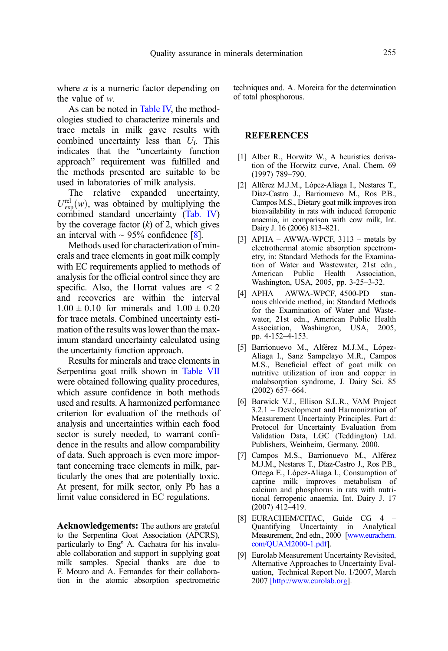<span id="page-14-0"></span>where  $a$  is a numeric factor depending on the value of w.

As can be noted in [Table IV,](#page-10-0) the methodologies studied to characterize minerals and trace metals in milk gave results with combined uncertainty less than  $U_f$ . This indicates that the "uncertainty function approach" requirement was fulfilled and the methods presented are suitable to be used in laboratories of milk analysis.

The relative expanded uncertainty,  $U_{\text{exp}}^{\text{rel}}(w)$ , was obtained by multiplying the combined standard uncertainty ([Tab. IV](#page-10-0)) by the coverage factor  $(k)$  of 2, which gives an interval with  $\sim$  95% confidence [8].

Methods used for characterization of minerals and trace elements in goat milk comply with EC requirements applied to methods of analysis for the official control since they are specific. Also, the Horrat values are  $\leq 2$ and recoveries are within the interval  $1.00 \pm 0.10$  for minerals and  $1.00 \pm 0.20$ for trace metals. Combined uncertainty estimation of the results was lower than the maximum standard uncertainty calculated using the uncertainty function approach.

Results for minerals and trace elements in Serpentina goat milk shown in [Table VII](#page-13-0) were obtained following quality procedures, which assure confidence in both methods used and results. A harmonized performance criterion for evaluation of the methods of analysis and uncertainties within each food sector is surely needed, to warrant confidence in the results and allow comparability of data. Such approach is even more important concerning trace elements in milk, particularly the ones that are potentially toxic. At present, for milk sector, only Pb has a limit value considered in EC regulations.

Acknowledgements: The authors are grateful to the Serpentina Goat Association (APCRS), particularly to Engº A. Cachatra for his invaluable collaboration and support in supplying goat milk samples. Special thanks are due to F. Mouro and A. Fernandes for their collaboration in the atomic absorption spectrometric techniques and. A. Moreira for the determination of total phosphorous.

# **REFERENCES**

- [1] Alber R., Horwitz W., A heuristics derivation of the Horwitz curve, Anal. Chem. 69 (1997) 789–790.
- [2] Alférez M.J.M., López-Aliaga I., Nestares T., Díaz-Castro J., Barrionuevo M., Ros P.B., Campos M.S., Dietary goat milk improves iron bioavailability in rats with induced ferropenic anaemia, in comparison with cow milk, Int. Dairy J. 16 (2006) 813–821.
- [3] APHA AWWA-WPCF,  $3113$  metals by electrothermal atomic absorption spectrometry, in: Standard Methods for the Examination of Water and Wastewater, 21st edn., American Public Health Association, Washington, USA, 2005, pp. 3-25–3-32.
- [4] APHA AWWA-WPCF, 4500-PD stannous chloride method, in: Standard Methods for the Examination of Water and Wastewater, 21st edn., American Public Health Association, Washington, USA, 2005, pp. 4-152–4-153.
- [5] Barrionuevo M., Alférez M.J.M., López-Aliaga I., Sanz Sampelayo M.R., Campos M.S., Beneficial effect of goat milk on nutritive utilization of iron and copper in malabsorption syndrome, J. Dairy Sci. 85 (2002) 657–664.
- [6] Barwick V.J., Ellison S.L.R., VAM Project 3.2.1 – Development and Harmonization of Measurement Uncertainty Principles. Part d: Protocol for Uncertainty Evaluation from Validation Data, LGC (Teddington) Ltd. Publishers, Weinheim, Germany, 2000.
- [7] Campos M.S., Barrionuevo M., Alférez M.J.M., Nestares T., Díaz-Castro J., Ros P.B., Ortega E., López-Aliaga I., Consumption of caprine milk improves metabolism of calcium and phosphorus in rats with nutritional ferropenic anaemia, Int. Dairy J. 17 (2007) 412–419.
- [8] EURACHEM/CITAC, Guide CG 4 Quantifying Uncertainty in Analytical Measurement, 2nd edn., 2000 [\[www.eurachem.](http://www.eurachem.com/QUAM2000-1.pdf) [com/QUAM2000-1.pdf](http://www.eurachem.com/QUAM2000-1.pdf)].
- [9] Eurolab Measurement Uncertainty Revisited, Alternative Approaches to Uncertainty Evaluation, Technical Report No. 1/2007, March 2007 [\[http://www.eurolab.org\]](http://www.eurolab.org).